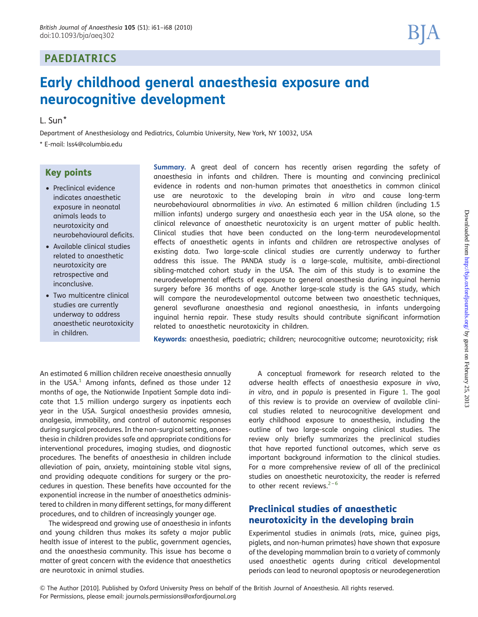# PAEDIATRICS



# Early childhood general anaesthesia exposure and neurocognitive development

#### L. Sun\*

Department of Anesthesiology and Pediatrics, Columbia University, New York, NY 10032, USA

\* E-mail: [lss4@columbia.edu](mailto:lss4@columbia.edu)

#### Key points

- Preclinical evidence indicates anaesthetic exposure in neonatal animals leads to neurotoxicity and neurobehavioural deficits.
- Available clinical studies related to anaesthetic neurotoxicity are retrospective and inconclusive.
- Two multicentre clinical studies are currently underway to address anaesthetic neurotoxicity in children.

Summary. A great deal of concern has recently arisen regarding the safety of anaesthesia in infants and children. There is mounting and convincing preclinical evidence in rodents and non-human primates that anaesthetics in common clinical use are neurotoxic to the developing brain in vitro and cause long-term neurobehavioural abnormalities in vivo. An estimated 6 million children (including 1.5 million infants) undergo surgery and anaesthesia each year in the USA alone, so the clinical relevance of anaesthetic neurotoxicity is an urgent matter of public health. Clinical studies that have been conducted on the long-term neurodevelopmental effects of anaesthetic agents in infants and children are retrospective analyses of existing data. Two large-scale clinical studies are currently underway to further address this issue. The PANDA study is a large-scale, multisite, ambi-directional sibling-matched cohort study in the USA. The aim of this study is to examine the neurodevelopmental effects of exposure to general anaesthesia during inguinal hernia surgery before 36 months of age. Another large-scale study is the GAS study, which will compare the neurodevelopmental outcome between two anaesthetic techniques, general sevoflurane anaesthesia and regional anaesthesia, in infants undergoing inguinal hernia repair. These study results should contribute significant information related to anaesthetic neurotoxicity in children.

Keywords: anaesthesia, paediatric; children; neurocognitive outcome; neurotoxicity; risk

An estimated 6 million children receive anaesthesia annually in the USA. $1$  Among infants, defined as those under 12 months of age, the Nationwide Inpatient Sample data indicate that 1.5 million undergo surgery as inpatients each year in the USA. Surgical anaesthesia provides amnesia, analgesia, immobility, and control of autonomic responses during surgical procedures. In the non-surgical setting, anaesthesia in children provides safe and appropriate conditions for interventional procedures, imaging studies, and diagnostic procedures. The benefits of anaesthesia in children include alleviation of pain, anxiety, maintaining stable vital signs, and providing adequate conditions for surgery or the procedures in question. These benefits have accounted for the exponential increase in the number of anaesthetics administered to children in many different settings, for many different procedures, and to children of increasingly younger age.

The widespread and growing use of anaesthesia in infants and young children thus makes its safety a major public health issue of interest to the public, government agencies, and the anaesthesia community. This issue has become a matter of great concern with the evidence that anaesthetics are neurotoxic in animal studies.

A conceptual framework for research related to the adverse health effects of anaesthesia exposure in vivo, in vitro, and in populo is presented in Figure [1.](#page-1-0) The goal of this review is to provide an overview of available clinical studies related to neurocognitive development and early childhood exposure to anaesthesia, including the outline of two large-scale ongoing clinical studies. The review only briefly summarizes the preclinical studies that have reported functional outcomes, which serve as important background information to the clinical studies. For a more comprehensive review of all of the preclinical studies on anaesthetic neurotoxicity, the reader is referred to other recent reviews. $2-6$  $2-6$  $2-6$ 

### Preclinical studies of anaesthetic neurotoxicity in the developing brain

Experimental studies in animals (rats, mice, guinea pigs, piglets, and non-human primates) have shown that exposure of the developing mammalian brain to a variety of commonly used anaesthetic agents during critical developmental periods can lead to neuronal apoptosis or neurodegeneration

& The Author [2010]. Published by Oxford University Press on behalf of the British Journal of Anaesthesia. All rights reserved. For Permissions, please email: journals.permissions@oxfordjournal.org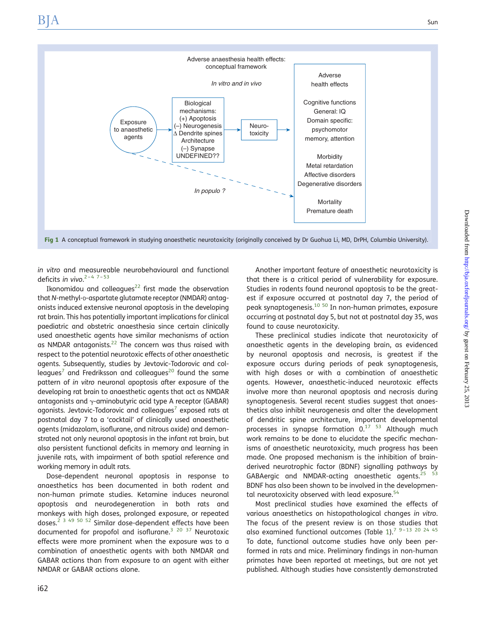<span id="page-1-0"></span>

Fig 1 A conceptual framework in studying anaesthetic neurotoxicity (originally conceived by Dr Guohua Li, MD, DrPH, Columbia University).

in vitro and measureable neurobehavioural and functional deficits in vivo.<sup>[2](#page-5-0)-47-[53](#page-7-0)</sup>

Ikonomidou and colleagues $^{22}$  $^{22}$  $^{22}$  first made the observation that N-methyl-p-aspartate glutamate receptor (NMDAR) antagonists induced extensive neuronal apoptosis in the developing rat brain. This has potentially important implications for clinical paediatric and obstetric anaesthesia since certain clinically used anaesthetic agents have similar mechanisms of action as NMDAR antagonists.<sup>22</sup> The concern was thus raised with respect to the potential neurotoxic effects of other anaesthetic agents. Subsequently, studies by Jevtovic-Todorovic and col-leagues<sup>[7](#page-6-0)</sup> and Fredriksson and colleagues<sup>[20](#page-6-0)</sup> found the same pattern of in vitro neuronal apoptosis after exposure of the developing rat brain to anaesthetic agents that act as NMDAR antagonists and  $\gamma$ -aminobutyric acid type A receptor (GABAR) agonists. Jevtovic-Todorovic and colleagues<sup>7</sup> exposed rats at postnatal day 7 to a 'cocktail' of clinically used anaesthetic agents (midazolam, isoflurane, and nitrous oxide) and demonstrated not only neuronal apoptosis in the infant rat brain, but also persistent functional deficits in memory and learning in juvenile rats, with impairment of both spatial reference and working memory in adult rats.

Dose-dependent neuronal apoptosis in response to anaesthetics has been documented in both rodent and non-human primate studies. Ketamine induces neuronal apoptosis and neurodegeneration in both rats and monkeys with high doses, prolonged exposure, or repeated doses.<sup>2</sup> <sup>3 [49 50 52](#page-7-0)</sup> Similar dose-dependent effects have been documented for propofol and isoflurane.<sup>[3](#page-5-0) [20 37](#page-6-0)</sup> Neurotoxic effects were more prominent when the exposure was to a combination of anaesthetic agents with both NMDAR and GABAR actions than from exposure to an agent with either NMDAR or GABAR actions alone.

Another important feature of anaesthetic neurotoxicity is that there is a critical period of vulnerability for exposure. Studies in rodents found neuronal apoptosis to be the greatest if exposure occurred at postnatal day 7, the period of peak synaptogenesis.[10](#page-6-0) [50](#page-7-0) In non-human primates, exposure occurring at postnatal day 5, but not at postnatal day 35, was found to cause neurotoxicity.

Mortality Premature death

These preclinical studies indicate that neurotoxicity of anaesthetic agents in the developing brain, as evidenced by neuronal apoptosis and necrosis, is greatest if the exposure occurs during periods of peak synaptogenesis, with high doses or with a combination of anaesthetic agents. However, anaesthetic-induced neurotoxic effects involve more than neuronal apoptosis and necrosis during synaptogenesis. Several recent studies suggest that anaesthetics also inhibit neurogenesis and alter the development of dendritic spine architecture, important developmental processes in synapse formation 0.<sup>17 [53](#page-7-0)</sup> Although much work remains to be done to elucidate the specific mechanisms of anaesthetic neurotoxicity, much progress has been made. One proposed mechanism is the inhibition of brainderived neurotrophic factor (BDNF) signalling pathways by GABAergic and NMDAR-acting anaesthetic agents. $25$  [53](#page-7-0) BDNF has also been shown to be involved in the developmen-tal neurotoxicity observed with lead exposure.<sup>[54](#page-7-0)</sup>

Most preclinical studies have examined the effects of various anaesthetics on histopathological changes in vitro. The focus of the present review is on those studies that also examined functional outcomes (Table [1](#page-2-0)).<sup>7 9-[13 20 24](#page-6-0) [45](#page-7-0)</sup> To date, functional outcome studies have only been performed in rats and mice. Preliminary findings in non-human primates have been reported at meetings, but are not yet published. Although studies have consistently demonstrated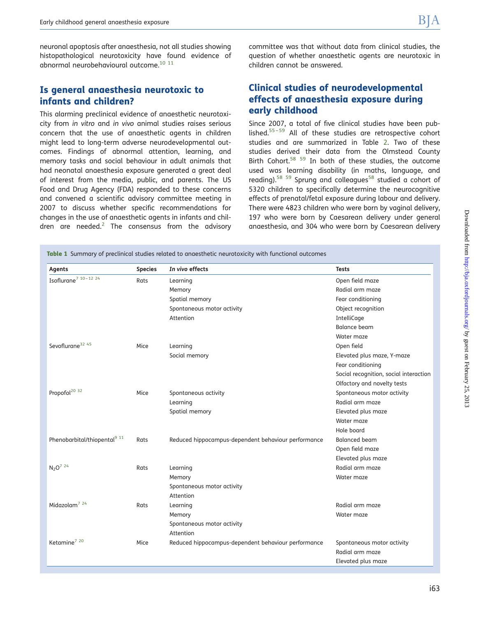<span id="page-2-0"></span>neuronal apoptosis after anaesthesia, not all studies showing histopathological neurotoxicity have found evidence of abnormal neurobehavioural outcome.<sup>[10 11](#page-6-0)</sup>

## Is general anaesthesia neurotoxic to infants and children?

This alarming preclinical evidence of anaesthetic neurotoxicity from in vitro and in vivo animal studies raises serious concern that the use of anaesthetic agents in children might lead to long-term adverse neurodevelopmental outcomes. Findings of abnormal attention, learning, and memory tasks and social behaviour in adult animals that had neonatal anaesthesia exposure generated a great deal of interest from the media, public, and parents. The US Food and Drug Agency (FDA) responded to these concerns and convened a scientific advisory committee meeting in 2007 to discuss whether specific recommendations for changes in the use of anaesthetic agents in infants and children are needed. $2$  The consensus from the advisory committee was that without data from clinical studies, the question of whether anaesthetic agents are neurotoxic in children cannot be answered.

## Clinical studies of neurodevelopmental effects of anaesthesia exposure during early childhood

Since 2007, a total of five clinical studies have been published.[55](#page-7-0)–[59](#page-7-0) All of these studies are retrospective cohort studies and are summarized in Table [2.](#page-3-0) Two of these studies derived their data from the Olmstead County Birth Cohort.<sup>[58 59](#page-7-0)</sup> In both of these studies, the outcome used was learning disability (in maths, language, and reading).<sup>[58 59](#page-7-0)</sup> Sprung and colleagues<sup>58</sup> studied a cohort of 5320 children to specifically determine the neurocognitive effects of prenatal/fetal exposure during labour and delivery. There were 4823 children who were born by vaginal delivery, 197 who were born by Caesarean delivery under general anaesthesia, and 304 who were born by Caesarean delivery

Table 1 Summary of preclinical studies related to anaesthetic neurotoxicity with functional outcomes

| Agents                                   | <b>Species</b> | In vivo effects                                     | <b>Tests</b>                           |
|------------------------------------------|----------------|-----------------------------------------------------|----------------------------------------|
| Isoflurane <sup>7</sup> 10-12 24         | Rats           | Learning                                            | Open field maze                        |
|                                          |                | Memory                                              | Radial arm maze                        |
|                                          |                | Spatial memory                                      | Fear conditioning                      |
|                                          |                | Spontaneous motor activity                          | Object recognition                     |
|                                          |                | Attention                                           | IntelliCage                            |
|                                          |                |                                                     | <b>Balance beam</b>                    |
|                                          |                |                                                     | Water maze                             |
| Sevoflurane <sup>32 45</sup>             | Mice           | Learning                                            | Open field                             |
|                                          |                | Social memory                                       | Elevated plus maze, Y-maze             |
|                                          |                |                                                     | Fear conditioning                      |
|                                          |                |                                                     | Social recognition, social interaction |
|                                          |                |                                                     | Olfactory and novelty tests            |
| Propofol <sup>20 32</sup>                | Mice           | Spontaneous activity                                | Spontaneous motor activity             |
|                                          |                | Learning                                            | Radial arm maze                        |
|                                          |                | Spatial memory                                      | Elevated plus maze                     |
|                                          |                |                                                     | Water maze                             |
|                                          |                |                                                     | Hole board                             |
| Phenobarbital/thiopental <sup>9 11</sup> | Rats           | Reduced hippocampus-dependent behaviour performance | <b>Balanced beam</b>                   |
|                                          |                |                                                     | Open field maze                        |
|                                          |                |                                                     | Elevated plus maze                     |
| $N_2O^7$ 24                              | Rats           | Learning                                            | Radial arm maze                        |
|                                          |                | Memory                                              | Water maze                             |
|                                          |                | Spontaneous motor activity                          |                                        |
|                                          |                | Attention                                           |                                        |
| Midazolam <sup>7 24</sup>                | Rats           | Learning                                            | Radial arm maze                        |
|                                          |                | Memory                                              | Water maze                             |
|                                          |                | Spontaneous motor activity                          |                                        |
|                                          |                | Attention                                           |                                        |
| Ketamine <sup>7</sup> 20                 | Mice           | Reduced hippocampus-dependent behaviour performance | Spontaneous motor activity             |
|                                          |                |                                                     | Radial arm maze                        |
|                                          |                |                                                     | Elevated plus maze                     |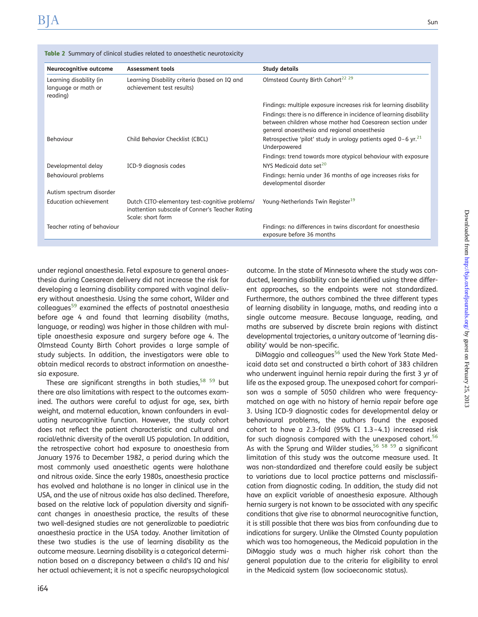<span id="page-3-0"></span>

| Neurocognitive outcome                                     | <b>Assessment tools</b>                                                                                                | <b>Study details</b>                                                                                                                                                              |
|------------------------------------------------------------|------------------------------------------------------------------------------------------------------------------------|-----------------------------------------------------------------------------------------------------------------------------------------------------------------------------------|
| Learning disability (in<br>language or math or<br>reading) | Learning Disability criteria (based on IQ and<br>achievement test results)                                             | Olmstead County Birth Cohort <sup>22</sup> <sup>29</sup>                                                                                                                          |
|                                                            |                                                                                                                        | Findings: multiple exposure increases risk for learning disability                                                                                                                |
|                                                            |                                                                                                                        | Findings: there is no difference in incidence of learning disability<br>between children whose mother had Caesarean section under<br>general anaesthesia and regional anaesthesia |
| Behaviour                                                  | Child Behavior Checklist (CBCL)                                                                                        | Retrospective 'pilot' study in urology patients aged $0-6$ yr. <sup>21</sup><br>Underpowered                                                                                      |
|                                                            |                                                                                                                        | Findings: trend towards more atypical behaviour with exposure                                                                                                                     |
| Developmental delay                                        | ICD-9 diagnosis codes                                                                                                  | NYS Medicaid data set <sup>20</sup>                                                                                                                                               |
| Behavioural problems                                       |                                                                                                                        | Findings: hernig under 36 months of age increases risks for<br>developmental disorder                                                                                             |
| Autism spectrum disorder                                   |                                                                                                                        |                                                                                                                                                                                   |
| Education achievement                                      | Dutch CITO-elementary test-cognitive problems/<br>inattention subscale of Conner's Teacher Rating<br>Scale: short form | Young-Netherlands Twin Register <sup>19</sup>                                                                                                                                     |
| Teacher rating of behaviour                                |                                                                                                                        | Findings: no differences in twins discordant for anaesthesia<br>exposure before 36 months                                                                                         |

under regional anaesthesia. Fetal exposure to general anaesthesia during Caesarean delivery did not increase the risk for developing a learning disability compared with vaginal delivery without anaesthesia. Using the same cohort, Wilder and colleagues<sup>[59](#page-7-0)</sup> examined the effects of postnatal anaesthesia before age 4 and found that learning disability (maths, language, or reading) was higher in those children with multiple anaesthesia exposure and surgery before age 4. The Olmstead County Birth Cohort provides a large sample of study subjects. In addition, the investigators were able to obtain medical records to abstract information on anaesthesia exposure.

These are significant strengths in both studies, $58$  59 but there are also limitations with respect to the outcomes examined. The authors were careful to adjust for age, sex, birth weight, and maternal education, known confounders in evaluating neurocognitive function. However, the study cohort does not reflect the patient characteristic and cultural and racial/ethnic diversity of the overall US population. In addition, the retrospective cohort had exposure to anaesthesia from January 1976 to December 1982, a period during which the most commonly used anaesthetic agents were halothane and nitrous oxide. Since the early 1980s, anaesthesia practice has evolved and halothane is no longer in clinical use in the USA, and the use of nitrous oxide has also declined. Therefore, based on the relative lack of population diversity and significant changes in anaesthesia practice, the results of these two well-designed studies are not generalizable to paediatric anaesthesia practice in the USA today. Another limitation of these two studies is the use of learning disability as the outcome measure. Learning disability is a categorical determination based on a discrepancy between a child's IQ and his/ her actual achievement; it is not a specific neuropsychological outcome. In the state of Minnesota where the study was conducted, learning disability can be identified using three different approaches, so the endpoints were not standardized. Furthermore, the authors combined the three different types of learning disability in language, maths, and reading into a single outcome measure. Because language, reading, and maths are subserved by discrete brain regions with distinct developmental trajectories, a unitary outcome of 'learning disability' would be non-specific.

DiMaggio and colleagues<sup>[56](#page-7-0)</sup> used the New York State Medicaid data set and constructed a birth cohort of 383 children who underwent inguinal hernia repair during the first 3 yr of life as the exposed group. The unexposed cohort for comparison was a sample of 5050 children who were frequencymatched on age with no history of hernia repair before age 3. Using ICD-9 diagnostic codes for developmental delay or behavioural problems, the authors found the exposed cohort to have a 2.3-fold (95% CI 1.3 –4.1) increased risk for such diagnosis compared with the unexposed cohort.<sup>[56](#page-7-0)</sup> As with the Sprung and Wilder studies,  $56$  58 59 a significant limitation of this study was the outcome measure used. It was non-standardized and therefore could easily be subject to variations due to local practice patterns and misclassification from diagnostic coding. In addition, the study did not have an explicit variable of anaesthesia exposure. Although hernia surgery is not known to be associated with any specific conditions that give rise to abnormal neurocognitive function, it is still possible that there was bias from confounding due to indications for surgery. Unlike the Olmsted County population which was too homogeneous, the Medicaid population in the DiMaggio study was a much higher risk cohort than the general population due to the criteria for eligibility to enrol in the Medicaid system (low socioeconomic status).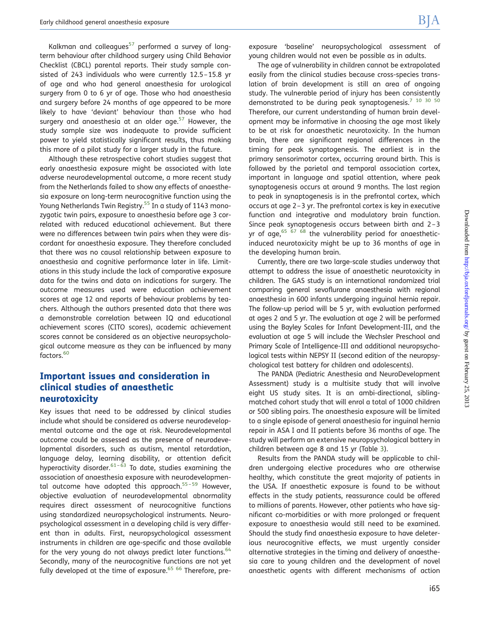Kalkman and colleagues<sup>[57](#page-7-0)</sup> performed a survey of longterm behaviour after childhood surgery using Child Behavior Checklist (CBCL) parental reports. Their study sample consisted of 243 individuals who were currently 12.5–15.8 yr of age and who had general anaesthesia for urological surgery from 0 to 6 yr of age. Those who had anaesthesia and surgery before 24 months of age appeared to be more likely to have 'deviant' behaviour than those who had surgery and anaesthesia at an older age. $57$  However, the study sample size was inadequate to provide sufficient power to yield statistically significant results, thus making this more of a pilot study for a larger study in the future.

Although these retrospective cohort studies suggest that early anaesthesia exposure might be associated with late adverse neurodevelopmental outcome, a more recent study from the Netherlands failed to show any effects of anaesthesia exposure on long-term neurocognitive function using the Young Netherlands Twin Registry.<sup>[55](#page-7-0)</sup> In a study of 1143 monozygotic twin pairs, exposure to anaesthesia before age 3 correlated with reduced educational achievement. But there were no differences between twin pairs when they were discordant for anaesthesia exposure. They therefore concluded that there was no causal relationship between exposure to anaesthesia and cognitive performance later in life. Limitations in this study include the lack of comparative exposure data for the twins and data on indications for surgery. The outcome measures used were education achievement scores at age 12 and reports of behaviour problems by teachers. Although the authors presented data that there was a demonstrable correlation between IQ and educational achievement scores (CITO scores), academic achievement scores cannot be considered as an objective neuropsychological outcome measure as they can be influenced by many factors.<sup>[60](#page-7-0)</sup>

### Important issues and consideration in clinical studies of anaesthetic neurotoxicity

Key issues that need to be addressed by clinical studies include what should be considered as adverse neurodevelopmental outcome and the age at risk. Neurodevelopmental outcome could be assessed as the presence of neurodevelopmental disorders, such as autism, mental retardation, language delay, learning disability, or attention deficit hyperactivity disorder. $61-63$  $61-63$  $61-63$  To date, studies examining the association of anaesthesia exposure with neurodevelopmental outcome have adopted this approach. $55-59$  $55-59$  However, objective evaluation of neurodevelopmental abnormality requires direct assessment of neurocognitive functions using standardized neuropsychological instruments. Neuropsychological assessment in a developing child is very different than in adults. First, neuropsychological assessment instruments in children are age-specific and those available for the very young do not always predict later functions.  $64$ Secondly, many of the neurocognitive functions are not yet fully developed at the time of exposure.<sup>[65 66](#page-7-0)</sup> Therefore, preexposure 'baseline' neuropsychological assessment of young children would not even be possible as in adults.

The age of vulnerability in children cannot be extrapolated easily from the clinical studies because cross-species translation of brain development is still an area of ongoing study. The vulnerable period of injury has been consistently demonstrated to be during peak synaptogenesis.<sup>7</sup> 10 30 [50](#page-7-0) Therefore, our current understanding of human brain development may be informative in choosing the age most likely to be at risk for anaesthetic neurotoxicity. In the human brain, there are significant regional differences in the timing for peak synaptogenesis. The earliest is in the primary sensorimotor cortex, occurring around birth. This is followed by the parietal and temporal association cortex, important in language and spatial attention, where peak synaptogenesis occurs at around 9 months. The last region to peak in synaptogenesis is in the prefrontal cortex, which occurs at age 2–3 yr. The prefrontal cortex is key in executive function and integrative and modulatory brain function. Since peak synaptogenesis occurs between birth and 2 –3 yr of age, $65$   $67$   $68$  the vulnerability period for anaestheticinduced neurotoxicity might be up to 36 months of age in the developing human brain.

Currently, there are two large-scale studies underway that attempt to address the issue of anaesthetic neurotoxicity in children. The GAS study is an international randomized trial comparing general sevoflurane anaesthesia with regional anaesthesia in 600 infants undergoing inguinal hernia repair. The follow-up period will be 5 yr, with evaluation performed at ages 2 and 5 yr. The evaluation at age 2 will be performed using the Bayley Scales for Infant Development-III, and the evaluation at age 5 will include the Wechsler Preschool and Primary Scale of Intelligence-III and additional neuropsychological tests within NEPSY II (second edition of the neuropsychological test battery for children and adolescents).

The PANDA (Pediatric Anesthesia and NeuroDevelopment Assessment) study is a multisite study that will involve eight US study sites. It is an ambi-directional, siblingmatched cohort study that will enrol a total of 1000 children or 500 sibling pairs. The anaesthesia exposure will be limited to a single episode of general anaesthesia for inguinal hernia repair in ASA I and II patients before 36 months of age. The study will perform an extensive neuropsychological battery in children between age 8 and 15 yr (Table [3](#page-5-0)).

Results from the PANDA study will be applicable to children undergoing elective procedures who are otherwise healthy, which constitute the great majority of patients in the USA. If anaesthetic exposure is found to be without effects in the study patients, reassurance could be offered to millions of parents. However, other patients who have significant co-morbidities or with more prolonged or frequent exposure to anaesthesia would still need to be examined. Should the study find anaesthesia exposure to have deleterious neurocognitive effects, we must urgently consider alternative strategies in the timing and delivery of anaesthesia care to young children and the development of novel anaesthetic agents with different mechanisms of action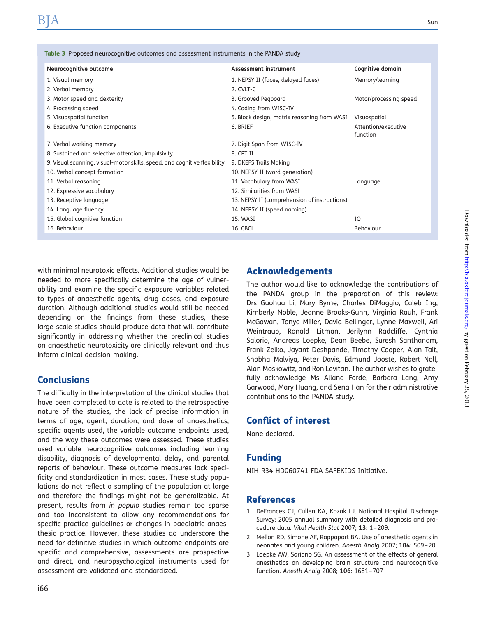<span id="page-5-0"></span>Table 3 Proposed neurocognitive outcomes and assessment instruments in the PANDA study

| Neurocognitive outcome                                                    | <b>Assessment instrument</b>                 | Cognitive domain                |
|---------------------------------------------------------------------------|----------------------------------------------|---------------------------------|
| 1. Visual memory                                                          | 1. NEPSY II (faces, delayed faces)           | Memory/learning                 |
| 2. Verbal memory                                                          | 2. CVLT-C                                    |                                 |
| 3. Motor speed and dexterity                                              | 3. Grooved Pegboard                          | Motor/processing speed          |
| 4. Processing speed                                                       | 4. Coding from WISC-IV                       |                                 |
| 5. Visuospatial function                                                  | 5. Block design, matrix reasoning from WASI  | Visuospatial                    |
| 6. Executive function components                                          | 6. BRIEF                                     | Attention/executive<br>function |
| 7. Verbal working memory                                                  | 7. Digit Span from WISC-IV                   |                                 |
| 8. Sustained and selective attention, impulsivity                         | 8. CPT II                                    |                                 |
| 9. Visual scanning, visual-motor skills, speed, and cognitive flexibility | 9. DKEFS Trails Making                       |                                 |
| 10. Verbal concept formation                                              | 10. NEPSY II (word generation)               |                                 |
| 11. Verbal reasoning                                                      | 11. Vocabulary from WASI                     | Language                        |
| 12. Expressive vocabulary                                                 | 12. Similarities from WASI                   |                                 |
| 13. Receptive language                                                    | 13. NEPSY II (comprehension of instructions) |                                 |
| 14. Language fluency                                                      | 14. NEPSY II (speed naming)                  |                                 |
| 15. Global cognitive function                                             | 15. WASI                                     | IΟ                              |
| 16. Behaviour                                                             | <b>16. CBCL</b>                              | Behaviour                       |

with minimal neurotoxic effects. Additional studies would be needed to more specifically determine the age of vulnerability and examine the specific exposure variables related to types of anaesthetic agents, drug doses, and exposure duration. Although additional studies would still be needed depending on the findings from these studies, these large-scale studies should produce data that will contribute significantly in addressing whether the preclinical studies on anaesthetic neurotoxicity are clinically relevant and thus inform clinical decision-making.

## **Conclusions**

The difficulty in the interpretation of the clinical studies that have been completed to date is related to the retrospective nature of the studies, the lack of precise information in terms of age, agent, duration, and dose of anaesthetics, specific agents used, the variable outcome endpoints used, and the way these outcomes were assessed. These studies used variable neurocognitive outcomes including learning disability, diagnosis of developmental delay, and parental reports of behaviour. These outcome measures lack specificity and standardization in most cases. These study populations do not reflect a sampling of the population at large and therefore the findings might not be generalizable. At present, results from in populo studies remain too sparse and too inconsistent to allow any recommendations for specific practice guidelines or changes in paediatric anaesthesia practice. However, these studies do underscore the need for definitive studies in which outcome endpoints are specific and comprehensive, assessments are prospective and direct, and neuropsychological instruments used for assessment are validated and standardized.

## Acknowledgements

The author would like to acknowledge the contributions of the PANDA group in the preparation of this review: Drs Guohua Li, Mary Byrne, Charles DiMaggio, Caleb Ing, Kimberly Noble, Jeanne Brooks-Gunn, Virginia Rauh, Frank McGowan, Tonya Miller, David Bellinger, Lynne Maxwell, Ari Weintraub, Ronald Litman, Jerilynn Radcliffe, Cynthia Salorio, Andreas Loepke, Dean Beebe, Suresh Santhanam, Frank Zelko, Jayant Deshpande, Timothy Cooper, Alan Tait, Shobha Malviya, Peter Davis, Edmund Jooste, Robert Noll, Alan Moskowitz, and Ron Levitan. The author wishes to gratefully acknowledge Ms Allana Forde, Barbara Lang, Amy Garwood, Mary Huang, and Sena Han for their administrative contributions to the PANDA study.

#### Conflict of interest

None declared.

## Funding

NIH-R34 HD060741 FDA SAFEKIDS Initiative.

#### References

- 1 DeFrances CJ, Cullen KA, Kozak LJ. National Hospital Discharge Survey: 2005 annual summary with detailed diagnosis and procedure data. Vital Health Stat 2007; 13: 1–209.
- 2 Mellon RD, Simone AF, Rappaport BA. Use of anesthetic agents in neonates and young children. Anesth Analg 2007; 104: 509–20
- 3 Loepke AW, Soriano SG. An assessment of the effects of general anesthetics on developing brain structure and neurocognitive function. Anesth Analg 2008; 106: 1681–707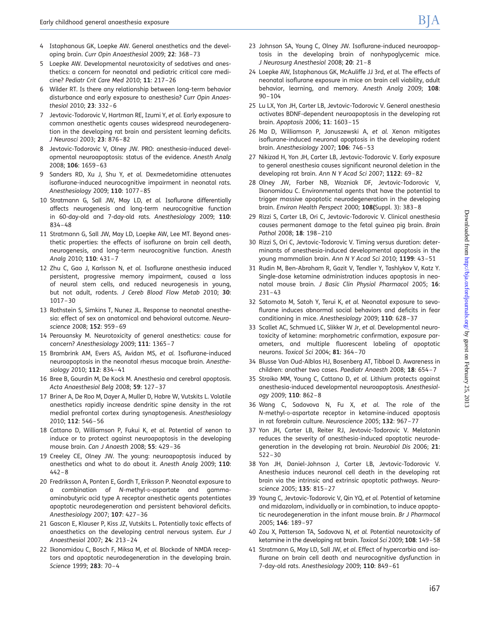- <span id="page-6-0"></span>4 Istaphanous GK, Loepke AW. General anesthetics and the developing brain. Curr Opin Anaesthesiol 2009; 22: 368–73
- 5 Loepke AW. Developmental neurotoxicity of sedatives and anesthetics: a concern for neonatal and pediatric critical care medicine? Pediatr Crit Care Med 2010; 11: 217–26
- 6 Wilder RT. Is there any relationship between long-term behavior disturbance and early exposure to anesthesia? Curr Opin Anaesthesiol 2010; 23: 332–6
- 7 Jevtovic-Todorovic V, Hartman RE, Izumi Y, et al. Early exposure to common anesthetic agents causes widespread neurodegeneration in the developing rat brain and persistent learning deficits. J Neurosci 2003; 23: 876–82
- 8 Jevtovic-Todorovic V, Olney JW. PRO: anesthesia-induced developmental neuroapoptosis: status of the evidence. Anesth Analg 2008; 106: 1659–63
- 9 Sanders RD, Xu J, Shu Y, et al. Dexmedetomidine attenuates isoflurane-induced neurocognitive impairment in neonatal rats. Anesthesiology 2009; 110: 1077–85
- 10 Stratmann G, Sall JW, May LD, et al. Isoflurane differentially affects neurogenesis and long-term neurocognitive function in 60-day-old and 7-day-old rats. Anesthesiology 2009; 110: 834–48
- 11 Stratmann G, Sall JW, May LD, Loepke AW, Lee MT. Beyond anesthetic properties: the effects of isoflurane on brain cell death, neurogenesis, and long-term neurocognitive function. Anesth Analg 2010; 110: 431–7
- 12 Zhu C, Gao J, Karlsson N, et al. Isoflurane anesthesia induced persistent, progressive memory impairment, caused a loss of neural stem cells, and reduced neurogenesis in young, but not adult, rodents. J Cereb Blood Flow Metab 2010; 30: 1017–30
- 13 Rothstein S, Simkins T, Nunez JL. Response to neonatal anesthesia: effect of sex on anatomical and behavioral outcome. Neuroscience 2008; 152: 959–69
- 14 Perouansky M. Neurotoxicity of general anesthetics: cause for concern? Anesthesiology 2009; 111: 1365-7
- 15 Brambrink AM, Evers AS, Avidan MS, et al. Isoflurane-induced neuroapoptosis in the neonatal rhesus macaque brain. Anesthesiology 2010; 112: 834–41
- 16 Bree B, Gourdin M, De Kock M. Anesthesia and cerebral apoptosis. Acta Anaesthesiol Belg 2008; 59: 127–37
- 17 Briner A, De Roo M, Dayer A, Muller D, Habre W, Vutskits L. Volatile anesthetics rapidly increase dendritic spine density in the rat medial prefrontal cortex during synaptogenesis. Anesthesiology 2010; 112: 546–56
- 18 Cattano D, Williamson P, Fukui K, et al. Potential of xenon to induce or to protect against neuroapoptosis in the developing mouse brain. Can J Anaesth 2008; 55: 429–36
- 19 Creeley CE, Olney JW. The young: neuroapoptosis induced by anesthetics and what to do about it. Anesth Analg 2009; 110: 442–8
- 20 Fredriksson A, Ponten E, Gordh T, Eriksson P. Neonatal exposure to a combination of N-methyl-D-aspartate and gammaaminobutyric acid type A receptor anesthetic agents potentiates apoptotic neurodegeneration and persistent behavioral deficits. Anesthesiology 2007; 107: 427–36
- 21 Gascon E, Klauser P, Kiss JZ, Vutskits L. Potentially toxic effects of anaesthetics on the developing central nervous system. Eur J Anaesthesiol 2007; 24: 213–24
- 22 Ikonomidou C, Bosch F, Miksa M, et al. Blockade of NMDA receptors and apoptotic neurodegeneration in the developing brain. Science 1999; 283: 70-4
- 23 Johnson SA, Young C, Olney JW. Isoflurane-induced neuroapoptosis in the developing brain of nonhypoglycemic mice. J Neurosurg Anesthesiol 2008; 20: 21 –8
- 24 Loepke AW, Istaphanous GK, McAuliffe JJ 3rd, et al. The effects of neonatal isoflurane exposure in mice on brain cell viability, adult behavior, learning, and memory. Anesth Analg 2009; 108: 90–104
- 25 Lu LX, Yon JH, Carter LB, Jevtovic-Todorovic V. General anesthesia activates BDNF-dependent neuroapoptosis in the developing rat brain. Apoptosis 2006; 11: 1603–15
- 26 Ma D, Williamson P, Januszewski A, et al. Xenon mitigates isoflurane-induced neuronal apoptosis in the developing rodent brain. Anesthesiology 2007; 106: 746–53
- 27 Nikizad H, Yon JH, Carter LB, Jevtovic-Todorovic V. Early exposure to general anesthesia causes significant neuronal deletion in the developing rat brain. Ann N Y Acad Sci 2007; 1122: 69–82
- 28 Olney JW, Farber NB, Wozniak DF, Jevtovic-Todorovic V, Ikonomidou C. Environmental agents that have the potential to trigger massive apoptotic neurodegeneration in the developing brain. Environ Health Perspect 2000; 108(Suppl. 3): 383–8
- 29 Rizzi S, Carter LB, Ori C, Jevtovic-Todorovic V. Clinical anesthesia causes permanent damage to the fetal guinea pig brain. Brain Pathol 2008; 18: 198–210
- 30 Rizzi S, Ori C, Jevtovic-Todorovic V. Timing versus duration: determinants of anesthesia-induced developmental apoptosis in the young mammalian brain. Ann N Y Acad Sci 2010; 1199: 43–51
- 31 Rudin M, Ben-Abraham R, Gazit V, Tendler Y, Tashlykov V, Katz Y. Single-dose ketamine administration induces apoptosis in neonatal mouse brain. J Basic Clin Physiol Pharmacol 2005; 16: 231–43
- 32 Satomoto M, Satoh Y, Terui K, et al. Neonatal exposure to sevoflurane induces abnormal social behaviors and deficits in fear conditioning in mice. Anesthesiology 2009; 110: 628–37
- 33 Scallet AC, Schmued LC, Slikker W Jr, et al. Developmental neurotoxicity of ketamine: morphometric confirmation, exposure parameters, and multiple fluorescent labeling of apoptotic neurons. Toxicol Sci 2004; 81: 364–70
- 34 Blusse Van Oud-Alblas HJ, Bosenberg AT, Tibboel D. Awareness in children: another two cases. Paediatr Anaesth 2008; 18: 654–7
- 35 Straiko MM, Young C, Cattano D, et al. Lithium protects against anesthesia-induced developmental neuroapoptosis. Anesthesiology 2009; 110: 862–8
- 36 Wang C, Sadovova N, Fu X, et al. The role of the N-methyl-D-aspartate receptor in ketamine-induced apoptosis in rat forebrain culture. Neuroscience 2005; 132: 967–77
- 37 Yon JH, Carter LB, Reiter RJ, Jevtovic-Todorovic V. Melatonin reduces the severity of anesthesia-induced apoptotic neurodegeneration in the developing rat brain. Neurobiol Dis 2006; 21: 522–30
- 38 Yon JH, Daniel-Johnson J, Carter LB, Jevtovic-Todorovic V. Anesthesia induces neuronal cell death in the developing rat brain via the intrinsic and extrinsic apoptotic pathways. Neuroscience 2005; 135: 815–27
- 39 Young C, Jevtovic-Todorovic V, Qin YQ, et al. Potential of ketamine and midazolam, individually or in combination, to induce apoptotic neurodegeneration in the infant mouse brain. Br J Pharmacol 2005; 146: 189–97
- 40 Zou X, Patterson TA, Sadovova N, et al. Potential neurotoxicity of ketamine in the developing rat brain. Toxicol Sci 2009; 108: 149–58
- 41 Stratmann G, May LD, Sall JW, et al. Effect of hypercarbia and isoflurane on brain cell death and neurocognitive dysfunction in 7-day-old rats. Anesthesiology 2009; 110: 849–61

Downloaded from http://bja.oxfordjournals.org/ by guest on February 25, Downloaded from <http://bja.oxfordjournals.org/> by guest on February  $25, 2013$ 

 $, 2013$